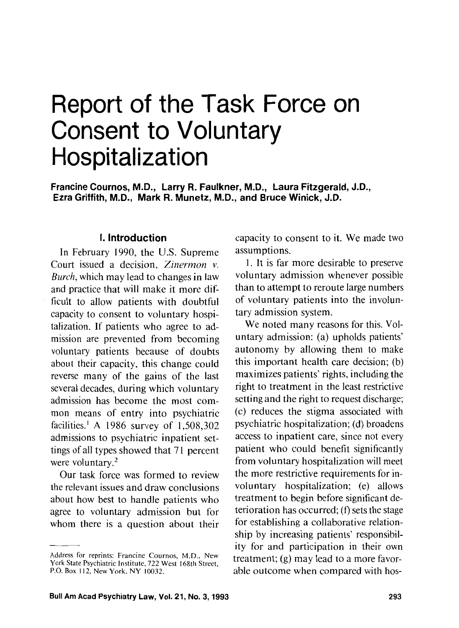# Report of the Task Force on Consent to Voluntary Hospitalization

**Francine Cournos, M.D., Larry R. Faulkner, M.D., Laura Fitzgerald, J.D., Ezra Griffith, M.D., Mark R. Munetz, M.D., and Bruce Winick, J.D.** 

## **I. Introduction**

In February 1990, the U.S. Supreme Court issued a decision, Zinermon v. Burch, which may lead to changes in law and practice that will make it more difficult to allow patients with doubtful capacity to consent to voluntary hospitalization. If patients who agree to admission are prevented from becoming voluntary patients because of doubts about their capacity, this change could reverse many of the gains of the last several decades, during which voluntary admission has become the most common means of entry into psychiatric facilities.' A 1986 survey of 1,508,302 admissions to psychiatric inpatient settings of all types showed that 71 percent were voluntary. $2$ 

Our task force was formed to review the relevant issues and draw conclusions about how best to handle patients who agree to voluntary admission but for whom there is a question about their

capacity to consent to it. We made two assumptions.

1. It is far more desirable to preserve voluntary admission whenever possible than to attempt to reroute large numbers of voluntary patients into the involuntary admission system.

We noted many reasons for this. Voluntary admission: (a) upholds patients' autonomy by allowing them to make this important health care decision; (b) maximizes patients' rights, including the right to treatment in the least restrictive setting and the right to request discharge; (c) reduces the stigma associated with psychiatric hospitalization; (d) broadens access to inpatient care, since not every patient who could benefit significantly from voluntary hospitalization will meet the more restrictive requirements for involuntary hospitalization; (e) allows treatment to begin before significant deterioration has occurred;  $(f)$  sets the stage for establishing a collaborative relationship by increasing patients' responsibility for and participation in their own treatment; (g) may lead to a more favorable outcome when compared with hos-

Address for reprints: Francine Cournos, M.D., New York State Psychiatric Institute, 722 West 168th Street, P.O. Box 112, New York, NY 10032.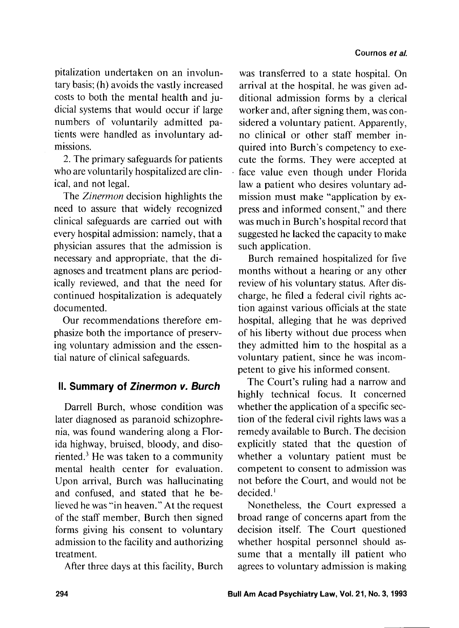pitalization undertaken on an involuntary basis; (h) avoids the vastly increased costs to both the mental health and judicial systems that would occur if large numbers of voluntarily admitted patients were handled as involuntary admissions.

2. The primary safeguards for patients who are voluntarily hospitalized are clinical, and not legal.

The Zinermon decision highlights the need to assure that widely recognized clinical safeguards are carried out with every hospital admission: namely, that a physician assures that the admission is necessary and appropriate, that the diagnoses and treatment plans are periodically reviewed, and that the need for continued hospitalization is adequately documented.

Our recommendations therefore emphasize both the importance of preserving voluntary admission and the essential nature of clinical safeguards.

# **II. Summary of Zinermon v. Burch**

Darrell Burch, whose condition was later diagnosed as paranoid schizophrenia, was found wandering along a Horida highway, bruised, bloody, and diso riented. ${}^{3}$  He was taken to a community mental health center for evaluation. Upon arrival, Burch was hallucinating and confused, and stated that he believed he was "in heaven." At the request of the staff member, Burch then signed forms giving his consent to voluntary admission to the facility and authorizing treatment.

After three days at this facility, Burch

was transferred to a state hospital. On arrival at the hospital, he was given additional admission forms by a clerical worker and, after signing them, was considered a voluntary patient. Apparently, no clinical or other staff member inquired into Burch's competency to execute the forms. They were accepted at face value even though under Florida law a patient who desires voluntary admission must make "application by express and informed consent," and there was much in Burch's hospital record that suggested he lacked the capacity to make such application.

Burch remained hospitalized for five months without a hearing or any other review of his voluntary status. After discharge, he filed a federal civil rights action against various officials at the state hospital, alleging that he was deprived of his liberty without due process when they admitted him to the hospital as a voluntary patient, since he was incompetent to give his informed consent.

The Court's ruling had a narrow and highly technical focus. It concerned whether the application of a specific section of the federal civil rights laws was a remedy available to Burch. The decision explicitly stated that the question of whether a voluntary patient must be competent to consent to admission was not before the Court, and would not be decided. '

Nonetheless, the Court expressed a broad range of concerns apart from the decision itself. The Court questioned whether hospital personnel should assume that a mentally ill patient who agrees to voluntary admission is making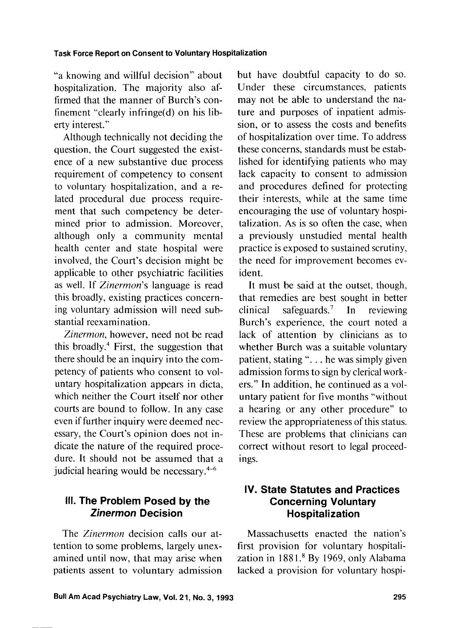"a knowing and willful decision" about hospitalization. The majority also affirmed that the manner of Burch's confinement "clearly infringe(d) on his liberty interest.''

Although technically not deciding the question, the Court suggested the existence of a new substantive due process requirement of competency to consent to voluntary hospitalization, and a related procedural due process requirement that such competency be determined prior to admission. Moreover, although only a community mental health center and state hospital were involved, the Court's decision might be applicable to other psychiatric facilities as well. If Zinermon's language is read this broadly, existing practices concerning voluntary admission will need substantial reexamination.

Zinermon, however, need not be read this broadly. $4$  First, the suggestion that there should be an inquiry into the competency of patients who consent to voluntary hospitalization appears in dicta, which neither the Court itself nor other courts are bound to follow. In any case even if further inquiry were deemed necessary, the Court's opinion does not indicate the nature of the required procedure. It should not be assumed that a judicial hearing would be necessary. $4-6$ 

## **Ill. The Problem Posed by the Zinermon Decision**

The Zinermon decision calls our attention to some problems, largely unexamined until now, that may arise when patients assent to voluntary admission but have doubtful capacity to do so. Under these circumstances, patients may not be able to understand the nature and purposes of inpatient admission, or to assess the costs and benefits of hospitalization over time. To address these concerns, standards must be established for identifying patients who may lack capacity to consent to admission and procedures defined for protecting their interests, while at the same time encouraging the use of voluntary hospitalization. As is so often the case, when a previously unstudied mental health practice is exposed to sustained scrutiny, the need for improvement becomes evident.

It must be said at the outset, though, that remedies are best sought in better clinical safeguards.<sup>7</sup> In reviewing Burch's experience, the court noted a lack of attention by clinicians as to whether Burch was a suitable voluntary patient, stating ". . . he was simply given admission forms to sign by clerical workers." In addition, he continued as a voluntary patient for five months "without a hearing or any other procedure" to review the appropriateness of this status. These are problems that clinicians can correct without resort to legal proceedings.

## **IV. State Statutes and Practices Concerning Voluntary Hospitalization**

Massachusetts enacted the nation's first provision for voluntary hospitalization in 1881.<sup>8</sup> By 1969, only Alabama lacked a provision for voluntary hospi-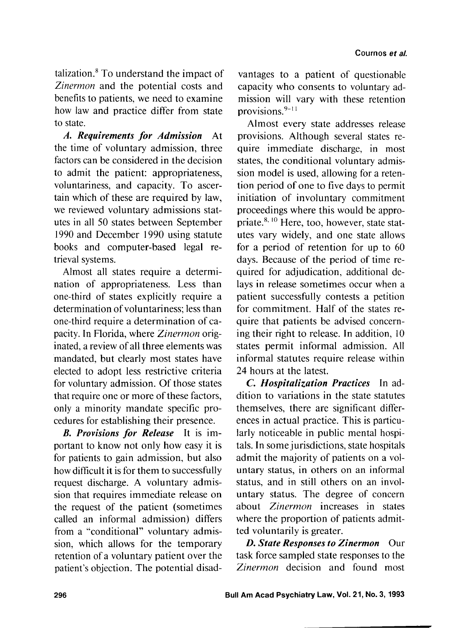talization. $8$  To understand the impact of *Zinermon* and the potential costs and benefits to patients, we need to examine how law and practice differ from state to state.

*A. Requirements for Admission* At the time of voluntary admission, three factors can be considered in the decision to admit the patient: appropriateness, voluntariness, and capacity. To ascertain which of these are required by law, we reviewed voluntary admissions statutes in all 50 states between September 1990 and December 1990 using statute books and computer-based legal retrieval systems.

Almost all states require a determination of appropriateness. Less than one-third of states explicitly require a determination of voluntariness; less than one-third require a determination of capacity. In Florida, where *Zinermon* originated, a review of all three elements was mandated, but clearly most states have elected to adopt less restrictive criteria for voluntary admission. Of those states that require one or more of these factors, only a minority mandate specific procedures for establishing their presence.

B. *Provisions for Release* It is important to know not only how easy it is for patients to gain admission, but also how difficult it is for them to successfully request discharge. A voluntary admission that requires immediate release on the request of the patient (sometimes called an informal admission) differs from a "conditional" voluntary admission, which allows for the temporary retention of a voluntary patient over the patient's objection. The potential disad-

vantages to a patient of questionable capacity who consents to voluntary admission will vary with these retention provisions. $9-11$ 

Almost every state addresses release provisions. Although several states require immediate discharge, in most states, the conditional voluntary admission model is used, allowing for a retention period of one to five days to permit initiation of involuntary commitment proceedings where this would be appro priate. $8,10$  Here, too, however, state statutes vary widely, and one state allows for a period of retention for up to 60 days. Because of the period of time required for adjudication, additional delays in release sometimes occur when a patient successfully contests a petition for commitment. Half of the states require that patients be advised concerning their right to release. In addition, 10 states permit informal admission. All informal statutes require release within 24 hours at the latest.

*C. Hospitalization Practices* In addition to variations in the state statutes themselves, there are significant differences in actual practice. This is particularly noticeable in public mental hospitals. In some jurisdictions, state hospitals admit the majority of patients on a voluntary status, in others on an informal status, and in still others on an involuntary status. The degree of concern about *Zinermon* increases in states where the proportion of patients admitted voluntarily is greater.

*D. State Responses to Zinermon* Our task force sampled state responses to the *Zinermon* decision and found most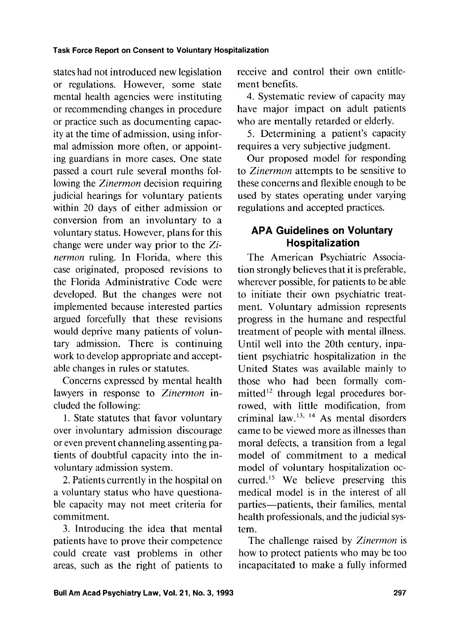states had not introduced new legislation or regulations. However, some state mental health agencies were instituting or recommending changes in procedure or practice such as documenting capacity at the time of admission, using informal admission more often, or appointing guardians in more cases. One state passed a court rule several months following the *Zinermon* decision requiring judicial hearings for voluntary patients within 20 days of either admission or conversion from an involuntary to a voluntary status. However, plans for this change were under way prior to the *Zinermon* ruling. In Florida, where this case originated, proposed revisions to the Florida Administrative Code were developed. But the changes were not implemented because interested parties argued forcefully that these revisions would deprive many patients of voluntary admission. There is continuing work to develop appropriate and acceptable changes in rules or statutes.

Concerns expressed by mental health lawyers in response to *Zinermon* included the following:

1. State statutes that favor voluntary over involuntary admission discourage or even prevent channeling assenting patients of doubtful capacity into the involuntary admission system.

2. Patients currently in the hospital on a voluntary status who have questionable capacity may not meet criteria for commitment.

**3.** Introducing the idea that mental patients have to prove their competence could create vast problems in other areas, such as the right of patients to

receive and control their own entitlement benefits.

4. Systematic review of capacity may have major impact on adult patients who are mentally retarded or elderly.

5. Determining a patient's capacity requires a very subjective judgment.

Our proposed model for responding to *Zinermon* attempts to be sensitive to these concerns and flexible enough to be used by states operating under varying regulations and accepted practices.

# **APA Guidelines on Voluntary Hospitalization**

The American Psychiatric Association strongly believes that it is preferable, wherever possible, for patients to be able to initiate their own psychiatric treatment. Voluntary admission represents progress in the humane and respectful treatment of people with mental illness. Until well into the 20th century, inpatient psychiatric hospitalization in the United States was available mainly to those who had been formally committed $12$  through legal procedures borrowed, with little modification, from criminal law.<sup>13, 14</sup> As mental disorders came to be viewed more as illnesses than moral defects, a transition from a legal model of commitment to a medical model of voluntary hospitalization occurred.<sup>15</sup> We believe preserving this medical model is in the interest of all parties-patients, their families, mental health professionals, and the judicial system.

The challenge raised by *Zinermon* is how to protect patients who may be too incapacitated to make a fully informed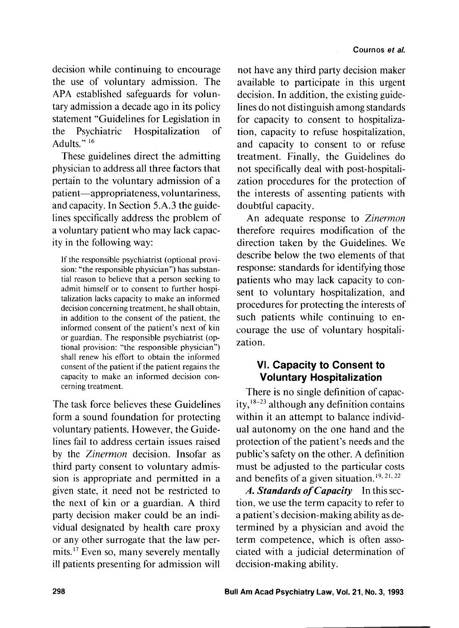decision while continuing to encourage the use of voluntary admission. The APA established safeguards for voluntary admission a decade ago in its policy statement "Guidelines for Legislation in the Psychiatric Hospitalization of Adults."<sup>16</sup>

These guidelines direct the admitting physician to address all three factors that pertain to the voluntary admission of a patient-appropriateness, voluntariness, and capacity. In Section 5.A.3 the guidelines specifically address the problem of a voluntary patient who may lack capacity in the following way:

If the responsible psychiatrist (optional provision: "the responsible physician") has substantial reason to believe that a person seeking to admit himself or to consent to further hospitalization lacks capacity to make an informed decision concerning treatment, he shall obtain, in addition to the consent of the patient, the informed consent of the patient's next of kin or guardian. The responsible psychiatrist (optional provision: "the responsible physician") shall renew his effort to obtain the informed consent of the patient if the patient regains the capacity to make an informed decision concerning treatment.

The task force believes these Guidelines form a sound foundation for protecting voluntary patients. However, the Guidelines fail to address certain issues raised by the *Zinermon* decision. Insofar as third party consent to voluntary admission is appropriate and permitted in a given state, it need not be restricted to the next of kin or a guardian. A third party decision maker could be an individual designated by health care proxy or any other surrogate that the law permits.<sup>17</sup> Even so, many severely mentally ill patients presenting for admission will

not have any third party decision maker available to participate in this urgent decision. In addition, the existing guidelines do not distinguish among standards for capacity to consent to hospitalization, capacity to refuse hospitalization, and capacity to consent to or refuse treatment. Finally, the Guidelines do not specifically deal with post-hospitalization procedures for the protection of the interests of assenting patients with doubtful capacity.

An adequate response to *Zinermon*  therefore requires modification of the direction taken by the Guidelines. We describe below the two elements of that response: standards for identifying those patients who may lack capacity to consent to voluntary hospitalization, and procedures for protecting the interests of such patients while continuing to encourage the use of voluntary hospitalization.

# **VI. Capacity to Consent to Voluntary Hospitalization**

There is no single definition of capacity,  $18-23$  although any definition contains within it an attempt to balance individual autonomy on the one hand and the protection of the patient's needs and the public's safety on the other. A definition must be adjusted to the particular costs and benefits of a given situation.<sup>19, 21, 22</sup>

*A. Standards* of *Capacity* In this section, we use the term capacity to refer to a patient's decision-making ability as determined by a physician and avoid the term competence, which is often associated with a judicial determination of decision-making ability.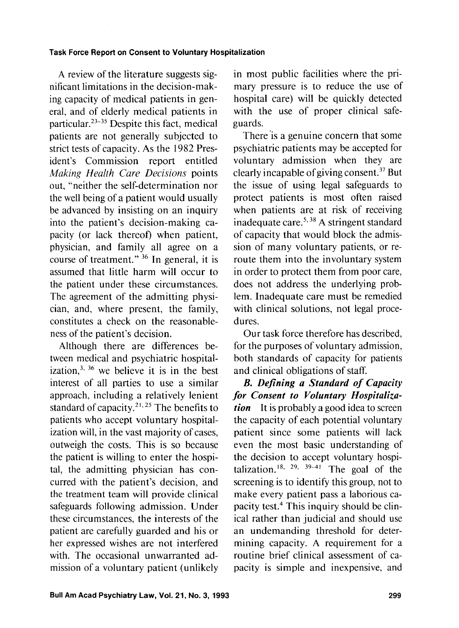A review of the literature suggests significant limitations in the decision-making capacity of medical patients in general, and of elderly medical patients in particular.<sup>23-35</sup> Despite this fact, medical patients are not generally subjected to strict tests of capacity. As the 1982 President's Commission report entitled Making *Heulth* Care **Decisions** points out, "neither the self-determination nor the well being of a patient would usually be advanced by insisting on an inquiry into the patient's decision-making capacity (or lack thereof) when patient, physician, and family all agree on a course of treatment."<sup>36</sup> In general, it is assumed that little harm will occur to the patient under these circumstances. The agreement of the admitting physician, and, where present, the family, constitutes a check on the reasonableness of the patient's decision.

Although there are differences between medical and psychiatric hospitalization, $^{3, 36}$  we believe it is in the best interest of all parties to use a similar approach, including a relatively lenient standard of capacity.<sup>21, 25</sup> The benefits to patients who accept voluntary hospitalization will, in the vast majority of cases, outweigh the costs. This is so because the patient is willing to enter the hospital, the admitting physician has concurred with the patient's decision, and the treatment team will provide clinical safeguards following admission. Under these circumstances, the interests of the patient are carefully guarded and his or her expressed wishes are not interfered with. The occasional unwarranted admission of a voluntary patient (unlikely

in most public facilities where the primary pressure is to reduce the use of hospital care) will be quickly detected with the use of proper clinical safeguards.

There is a genuine concern that some psychiatric patients may be accepted for voluntary admission when they are clearly incapable of giving consent. $^{37}$  But the issue of using legal safeguards to protect patients is most often raised when patients are at risk of receiving inadequate care.<sup>5, 38</sup> A stringent standard of capacity that would block the admission of many voluntary patients, or reroute them into the involuntary system in order to protect them from poor care, does not address the underlying problem. Inadequate care must be remedied with clinical solutions, not legal procedures.

Our task force therefore has described, for the purposes of voluntary admission, both standards of capacity for patients and clinical obligations of staff.

*B. Defining a Standard of Capacity for Consent to Voluntary Hospitalization* It is probably a good idea to screen the capacity of each potential voluntary patient since some patients will lack even the most basic understanding of the decision to accept voluntary hospitalization.<sup>18, 29, 39-41</sup> The goal of the screening is to identify this group, not to make every patient pass a laborious capacity test.4 This inquiry should be clinical rather than judicial and should use an undemanding threshold for determining capacity. A requirement for a routine brief clinical assessment of capacity is simple and inexpensive, and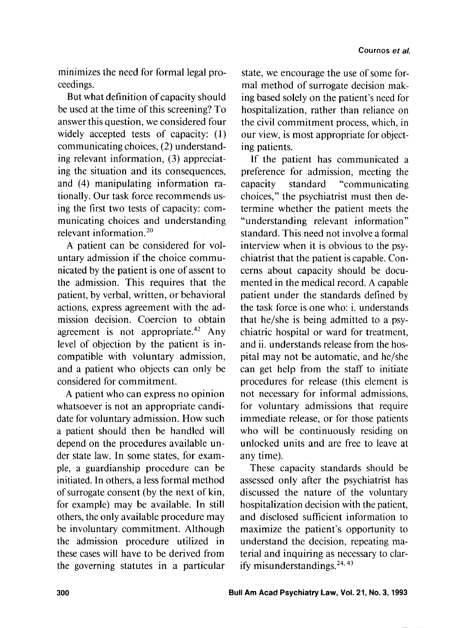minimizes the need for formal legal proceedings.

But what definition of capacity should be used at the time of this screening? To answer this question, we considered four widely accepted tests of capacity: (1) communicating choices, (2) understanding relevant information, **(3)** appreciating the situation and its consequences, and (4) manipulating information rationally. Our task force recommends using the first two tests of capacity: communicating choices and understanding relevant information. $20$ 

A patient can be considered for voluntary admission if the choice communicated by the patient is one of assent to the admission. This requires that the patient, by verbal, written, or behavioral actions, express agreement with the admission decision. Coercion to obtain agreement is not appropriate. $42$  Any level of objection by the patient is incompatible with voluntary admission, and a patient who objects can only be considered for commitment.

A patient who can express no opinion whatsoever is not an appropriate candidate for voluntary admission. How such a patient should then be handled will depend on the procedures available under state law. In some states, for example, a guardianship procedure can be initiated. In others, a less formal method of surrogate consent (by the next of kin, for example) may be available. In still others, the only available procedure may be involuntary commitment. Although the admission procedure utilized in these cases will have to be derived from the governing statutes in a particular

state, we encourage the use of some formal method of surrogate decision making based solely on the patient's need for hospitalization, rather than reliance on the civil commitment process, which, in our view, is most appropriate for objecting patients.

If the patient has communicated a preference for admission, meeting the capacity standard "communicating choices," the psychiatrist must then determine whether the patient meets the "understanding relevant information" standard. This need not involve a formal interview when it is obvious to the psychiatrist that the patient is capable. Concerns about capacity should be documented in the medical record. A capable patient under the standards defined by the task force is one who: i. understands that he/she is being admitted to a psychiatric hospital or ward for treatment, and ii. understands release from the hospital may not be automatic, and he/she can get help from the staff to initiate procedures for release (this element is not necessary for informal admissions, for voluntary admissions that require immediate release, or for those patients who will be continuously residing on unlocked units and are free to leave at any time).

These capacity standards should be assessed only after the psychiatrist has discussed the nature of the voluntary hospitalization decision with the patient, and disclosed sufficient information to maximize the patient's opportunity to understand the decision, repeating material and inquiring as necessary to clarify misunderstandings.<sup>24, 43</sup>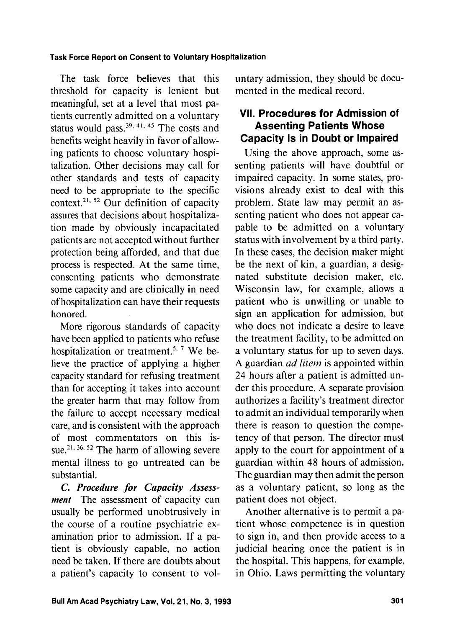The task force believes that this threshold for capacity is lenient but meaningful, set at a level that most patients currently admitted on a voluntary status would pass. $39, 41, 45$  The costs and benefits weight heavily in favor of allowing patients to choose voluntary hospitalization. Other decisions may call for other standards and tests of capacity need to be appropriate to the specific context.<sup>21, 52</sup> Our definition of capacity assures that decisions about hospitalization made by obviously incapacitated patients are not accepted without further protection being afforded, and that due process is respected. At the same time, consenting patients who demonstrate some capacity and are clinically in need of hospitalization can have their requests honored.

More rigorous standards of capacity have been applied to patients who refuse hospitalization or treatment.<sup>5, 7</sup> We believe the practice of applying a higher capacity standard for refusing treatment than for accepting it takes into account the greater harm that may follow from the failure to accept necessary medical care, and is consistent with the approach of most commentators on this issue.<sup>21, 36, 52</sup> The harm of allowing severe mental illness to go untreated can be substantial.

**C.** *Procedure for Capacity Assessment* The assessment of capacity can usually be performed unobtrusively in the course of a routine psychiatric examination prior to admission. If a patient is obviously capable, no action need be taken. If there are doubts about a patient's capacity to consent to voluntary admission, they should be documented in the medical record.

## **VII. Procedures for Admission of Assenting Patients Whose Capacity Is in Doubt or Impaired**

Using the above approach, some assenting patients will have doubtful or impaired capacity. In some states, provisions already exist to deal with this problem. State law may permit an assenting patient who does not appear capable to be admitted on a voluntary status with involvement by a third party. In these cases, the decision maker might be the next of kin, a guardian, a designated substitute decision maker, etc. Wisconsin law, for example, allows a patient who is unwilling or unable to sign an application for admission, but who does not indicate a desire to leave the treatment facility, to be admitted on a voluntary status for up to seven days. A guardian ad *litem* is appointed within 24 hours after a patient is admitted under this procedure. A separate provision authorizes a facility's treatment director to admit an individual temporarily when there is reason to question the competency of that person. The director must apply to the court for appointment of a guardian within 48 hours of admission. The guardian may then admit the person as a voluntary patient, so long as the patient does not object.

Another alternative is to permit a patient whose competence is in question to sign in, and then provide access to a judicial hearing once the patient is in the hospital. This happens, for example, in Ohio. Laws permitting the voluntary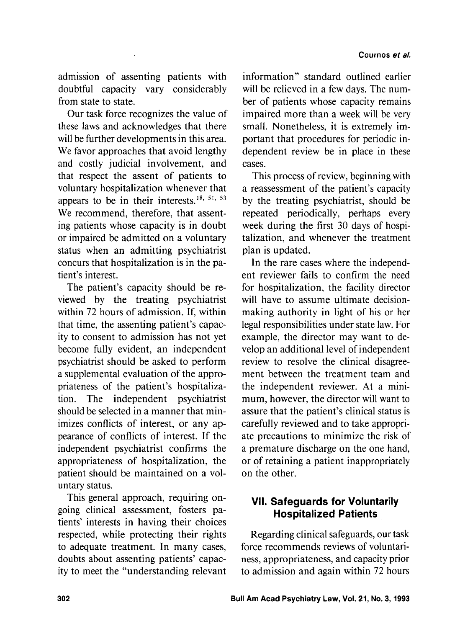admission of assenting patients with doubtful capacity vary considerably from state to state.

Our task force recognizes the value of these laws and acknowledges that there will be further developments in this area. We favor approaches that avoid lengthy and costly judicial involvement, and that respect the assent of patients to voluntary hospitalization whenever that appears to be in their interests.I8. **5'3 <sup>53</sup>** We recommend, therefore, that assenting patients whose capacity is in doubt or impaired be admitted on a voluntary status when an admitting psychiatrist concurs that hospitalization is in the patient's interest.

The patient's capacity should be reviewed by the treating psychiatrist within 72 hours of admission. If, within that time, the assenting patient's capacity to consent to admission has not yet become fully evident, an independent psychiatrist should be asked to perform a supplemental evaluation of the appropriateness of the patient's hospitalization. The independent psychiatrist should be selected in a manner that minimizes conflicts of interest, or any appearance of conflicts of interest. If the independent psychiatrist confirms the appropriateness of hospitalization, the patient should be maintained on a voluntary status.

This general approach, requiring ongoing clinical assessment, fosters patients' interests in having their choices respected, while protecting their rights to adequate treatment. In many cases, doubts about assenting patients' capacity to meet the "understanding relevant

information" standard outlined earlier will be relieved in a few days. The number of patients whose capacity remains impaired more than a week will be very small. Nonetheless, it is extremely important that procedures for periodic independent review be in place in these cases.

This process of review, beginning with a reassessment of the patient's capacity by the treating psychiatrist, should be repeated periodically, perhaps every week during the first 30 days of hospitalization, and whenever the treatment plan is updated.

In the rare cases where the independent reviewer fails to confirm the need for hospitalization, the facility director will have to assume ultimate decisionmaking authority in light of his or her legal responsibilities under state law. For example, the director may want to develop an additional level of independent review to resolve the clinical disagreement between the treatment team and the independent reviewer. At a minimum, however, the director will want to assure that the patient's clinical status is carefully reviewed and to take appropriate precautions to minimize the risk of a premature discharge on the one hand, or of retaining a patient inappropriately on the other.

# **VII. Safeguards for Voluntarily Hospitalized Patients**

Regarding clinical safeguards, our task force recommends reviews of voluntariness, appropriateness, and capacity prior to admission and again within 72 hours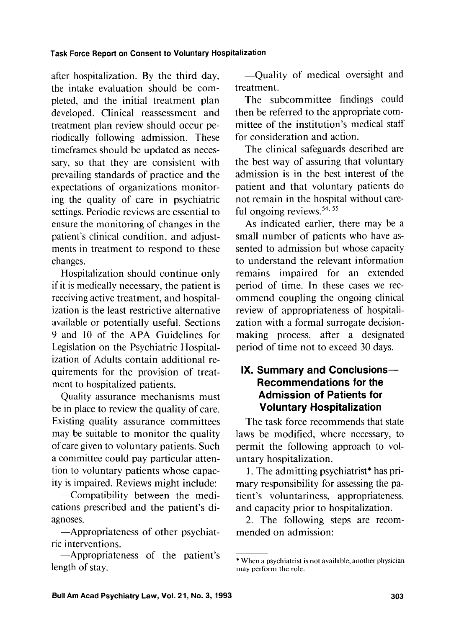after hospitalization. By the third day, the intake evaluation should be completed, and the initial treatment plan developed. Clinical reassessment and treatment plan review should occur periodically following admission. These timeframes should be updated as necessary, so that they are consistent with prevailing standards of practice and the expectations of organizations monitoring the quality of care in psychiatric settings. Periodic reviews are essential to ensure the monitoring of changes in the patient's clinical condition, and adjustments in treatment to respond to these changes.

Hospitalization should continue only if it is medically necessary, the patient is receiving active treatment, and hospitalization is the least restrictive alternative available or potentially useful. Sections 9 and 10 of the APA Guidelines for Legislation on the Psychiatric Hospitalization of Adults contain additional requirements for the provision of treatment to hospitalized patients.

Quality assurance mechanisms must be in place to review the quality of care. Existing quality assurance committees may be suitable to monitor the quality of care given to voluntary patients. Such a committee could pay particular attention to voluntary patients whose capacity is impaired. Reviews might include:

-Compatibility between the medications prescribed and the patient's diagnoses.

-Appropriateness of other psychiatric interventions.

-Appropriateness of the patient's length of stay.

-Quality of medical oversight and treatment.

The subcommittee findings could then be referred to the appropriate committee of the institution's medical staff for consideration and action.

The clinical safeguards described are the best way of assuring that voluntary admission is in the best interest of the patient and that voluntary patients do not remain in the hospital without careful ongoing reviews.<sup>54, 55</sup>

As indicated earlier, there may be a small number of patients who have assented to admission but whose capacity to understand the relevant information remains impaired for an extended period of time. In these cases we recommend coupling the ongoing clinical review of appropriateness of hospitalization with a formal surrogate decisionmaking process, after a designated period of time not to exceed 30 days.

## **IX. Summary and Conclusions-Recommendations for the Admission of Patients for Voluntary Hospitalization**

The task force recommends that state laws be modified, where necessary, to permit the following approach to voluntary hospitalization.

1. The admitting psychiatrist\* has primary responsibility for assessing the patient's voluntariness, appropriateness. and capacity prior to hospitalization.

2. The following steps are recommended on admission:

<sup>\*</sup> When a psychiatrist is not available, another physician may perform the role.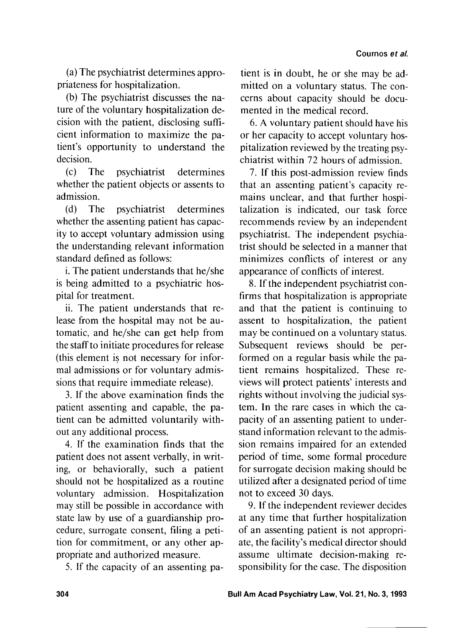(a) The psychiatrist determines appropriateness for hospitalization.

(b) The psychiatrist discusses the nature of the voluntary hospitalization decision with the patient, disclosing sufficient information to maximize the patient's opportunity to understand the decision.

(c) The psychiatrist determines whether the patient objects or assents to admission.

(d) The psychiatrist determines whether the assenting patient has capacity to accept voluntary admission using the understanding relevant information standard defined as follows:

i. The patient understands that he/she is being admitted to a psychiatric hospital for treatment.

ii. The patient understands that release from the hospital may not be automatic, and he/she can get help from the staff to initiate procedures for release (this element is not necessary for informal admissions or for voluntary admissions that require immediate release).

3. If the above examination finds the patient assenting and capable, the patient can be admitted voluntarily without any additional process.

4. If the examination finds that the patient does not assent verbally, in writing, or behaviorally, such a patient should not be hospitalized as a routine voluntary admission. Hospitalization may still be possible in accordance with state law by use of a guardianship procedure, surrogate consent, filing a petition for commitment, or any other appropriate and authorized measure.

5. If the capacity of an assenting pa-

tient is in doubt, he or she may be admitted on a voluntary status. The concerns about capacity should be documented in the medical record.

6. A voluntary patient should have his or her capacity to accept voluntary hospitalization reviewed by the treating psychiatrist within 72 hours of admission.

7. If this post-admission review finds that an assenting patient's capacity remains unclear, and that further hospitalization is indicated, our task force recommends review by an independent psychiatrist. The independent psychiatrist should be selected in a manner that minimizes conflicts of interest or any appearance of conflicts of interest.

8. If the independent psychiatrist confirms that hospitalization is appropriate and that the patient is continuing to assent to hospitalization, the patient may be continued on a voluntary status. Subsequent reviews should be performed on a regular basis while the patient remains hospitalized. These reviews will protect patients' interests and rights without involving the judicial system. In the rare cases in which the capacity of an assenting patient to understand information relevant to the admission remains impaired for an extended period of time, some formal procedure for surrogate decision making should be utilized after a designated period of time not to exceed 30 days.

9. If the independent reviewer decides at any time that further hospitalization of an assenting patient is not appropriate, the facility's medical director should assume ultimate decision-making responsibility for the case. The disposition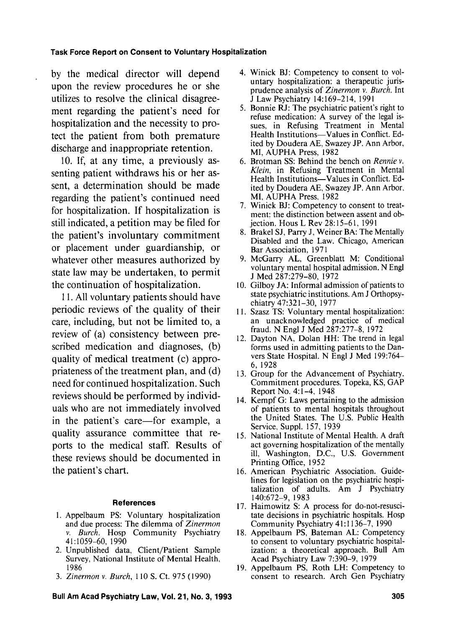by the medical director will depend upon the review procedures he or she utilizes to resolve the clinical disagreement regarding the patient's need for hospitalization and the necessity to protect the patient from both premature discharge and inappropriate retention.

10. If, at any time, a previously assenting patient withdraws his or her assent, a determination should be made regarding the patient's continued need for hospitalization. If hospitalization is still indicated, a petition may be filed for the patient's involuntary commitment or placement under guardianship, or whatever other measures authorized by state law may be undertaken, to permit the continuation of hospitalization.

1 1. All voluntary patients should have periodic reviews of the quality of their care, including, but not be limited to, a review of (a) consistency between prescribed medication and diagnoses, (b) quality of medical treatment (c) appropriateness of the treatment plan, and (d) need for continued hospitalization. Such reviews should be performed by individuals who are not immediately involved in the patient's care—for example, a quality assurance committee that reports to the medical staff. Results of these reviews should be documented in the patient's chart.

#### **References**

- 1. Appelbaum PS: Voluntary hospitalization and due process: The dilemma of *Zinermon* v. *Burch.* Hosp Community Psychiatry 4 1 : 1059-60, 1990
- 2. Unpublished data, Client/Patient Sample Survey, National Institute of Mental Health, I986
- 3. *Zinermon* v. *Burch,* 110 S. Ct. 975 (1990)
- Winick BJ: Competency to consent to voluntary hospitalization: a therapeutic jurisprudence analysis of *Zinermon* v. *Burch.* Int J Law Psychiatry 14: 169-214, 199 1
- 5. Bonnie RJ: The psychiatric patient's right to refuse medication: A survey of the legal issues, in Refusing Treatment in Mental Health Institutions-Values in Conflict. Edited by Doudera AE, Swazey JP. Ann Arbor, MI, AUPHA Press, 1982
- Brotman SS: Behind the bench on *Rennie* v. *Klein,* in Refusing Treatment in Mental Health Institutions-Values in Conflict. Edited by Doudera AE, Swazey JP. Ann Arbor, MI, AUPHA Press, 1982
- Winick BJ: Competency to consent to treatment: the distinction between assent and objection. Hous L Rev 28:15-61, 1991
- Brakel SJ, Parry J, Weiner BA: The Mentally Disabled and the Law. Chicago, American Bar Association, 1971
- 9. McGarry AL, Greenblatt M: Conditional voluntary mental hospital admission. N Engl J Med 287:279-80, 1972
- Gilboy JA: Informal admission of patients to state psychiatric institutions. Am J Orthopsychiatry 47:32 1-30, 1977
- 11. Szasz TS: Voluntary mental hospitalization: an unacknowledged practice of medical fraud. N Engl J Med 287:277-8, 1972
- 12. Dayton NA, Dolan HH: The trend in legal forms used in admitting patients to the Danvers State Hospital. N Engl J Med 199:764- 6, 1928
- 13. Group for the Advancement of Psychiatry. Commitment procedures. Topeka, KS, GAP Report No. 4: 1-4, 1948
- 14. Kempf G: Laws pertaining to the admission of patients to mental hospitals throughout the United States. The U.S. Public Health Service, Suppl. 157, 1939
- 15. National Institute of Mental Health. A draft act governing hospitalization of the mentally ill, Washington, D.C., U.S. Government Printing Office, 1952
- 16. American Psychiatric Association. Guidelines for legislation on the psychiatric hospitalization of adults. Am J Psychiatry 140:672-9, 1983
- 17. Haimowitz S: A process for do-not-resuscitate decisions in psychiatric hospitals. Hosp Community Psychiatry 41: 1 136-7, 1990
- 18. Appelbaum PS, Bateman AL: Competency to consent to voluntary psychiatric hospitalization: a theoretical approach. Bull Am Acad Psychiatry Law 7:390-9, 1979
- Appelbaum PS, Roth LH: Competency to consent to research. Arch Gen Psychiatry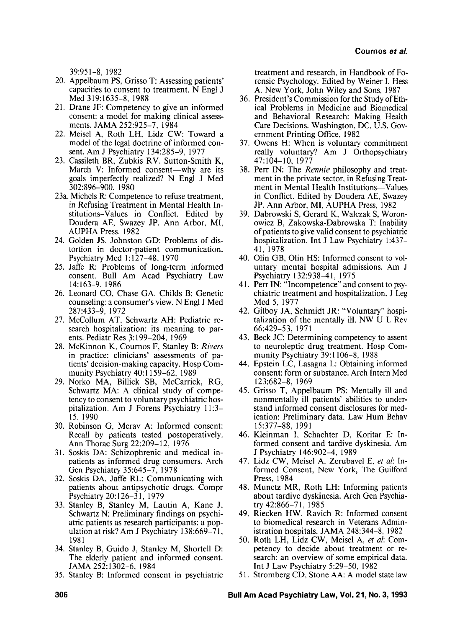39:95 1-8, 1982

- 20. Appelbaum PS, Grisso T: Assessing patients' capacities to consent to treatment. N Engl J Med 319:1635-8, 1988
- 21. Drane JF: Competency to give an informed consent: a model for making clinical assessments. JAMA 252:925-7, 1984
- 22. Meisel A, Roth LH, Lidz CW: Toward a model of the legal doctrine of informed consent. Am J Psychiatry 134:285-9, 1977
- 23. Cassileth BR, Zubkis RV, Sutton-Smith K, March V: Informed consent—why are its goals imperfectly realized? N Engl J Med 3021896-900, 1980
- 23a. Michels R: Competence to refuse treatment, in Refusing Treatment in Mental Health Institutions-Values in Conflict. Edited by Doudera AE, Swazey JP. Ann Arbor. MI, AUPHA Press, 1982
- 24. Golden JS, Johnston GD: Problems of distortion in doctor-patient communication. Psychiatry Med 1: 127-48, 1970
- 25. Jaffe R: Problems of long-term informed consent. Bull Am Acad Psychiatry Law 14:163-9, 1986
- 26. Leonard CO, Chase GA, Childs B: Genetic counseling: a consumer's view. N Engl J Med 287:433-9, 1972
- 27. McCollum AT, Schwartz AH: Pediatric research hospitalization: its meaning to parents. Pediatr Res **3:** 199-204, 1969
- 28. McKinnon **K,** Cournos F, Stanley B: **Rivers**  in practice: clinicians' assessments of patients' decision-making capacity. Hosp Community Psychiatry 40: 1 159-62, 1989
- 29. Norko MA, Billick SB, McCarrick, RG, Schwartz MA: A clinical study of competency to consent to voluntary psychiatric hospitalization. Am J Forens Psychiatry 1 1:3- 15, 1990
- 30. Robinson G, Merav A: Informed consent: Recall by patients tested postoperatively. Ann Thorac Surg 22:2O9- 12, 1976
- 31. Soskis DA: Schizophrenic and medical inpatients as informed drug consumers. Arch Gen Psychiatry 35:645-7, 1978
- 32. Soskis DA, Jaffe RL: Communicating with patients about antipsychotic drugs. Compr Psychiatry 20: 126-3 1, 1979
- 33. Stanley B, Stanley M, Lautin A, Kane J, Schwartz N: Preliminary findings on psychiatric patients as research participants: a population at risk? Am J Psychiatry 138:669-7 I, 1981
- 34. Stanley B, Guido J, Stanley M, Shortell D: The elderly patient and informed consent. JAMA 252: 1302-6, 1984
- 35. Stanley B: Informed consent in psychiatric

treatment and research, in Handbook of Forensic Psychology. Edited by Weiner I, Hess A. New York, John Wiley and Sons, 1987

- 36. President's Commission for the Study of Ethical Problems in Medicine and Biomedical and Behavioral Research: Making Health Care Decisions. Washington, DC, U.S. Government Printing Ofice, 1982
- 37. Owens H: When is voluntary commitment really voluntary? Am J Orthopsychiatry 47: 104- 10, 1977
- 38. Perr IN: The **Rennie** philosophy and treatment in the private sector, in Refusing Treatment in Mental Health Institutions-Values in Conflict. Edited by Doudera AE, Swazey JP. Ann Arbor, MI, AUPHA Press, 1982
- 39. Dabrowski S, Gerard K, Walczak S, Woronowicz B, Zakowska-Dabrowska T: Inability of patients to give valid consent to psychiatric hospitalization. Int J Law Psychiatry 1:437- 41, 1978
- 40. Olin GB, Olin HS: Informed consent to voluntary mental hospital admissions. Am J Psychiatry 132:938-4 1, 1975
- 4 1. Perr IN: "Incompetence" and consent to psychiatric treatment and hospitalization. J Leg Med 5, 1977
- 42. Gilboy JA, Schmidt JR: "Voluntary" hospitalization of the mentally ill. NW U L Rev 66:429-53, 197 1
- 43. Beck JC: Determining competency to assent to neuroleptic drug treatment. Hosp Community Psychiatry 39: 1 106-8, 1988
- 44. Epstein LC, Lasagna L: Obtaining informed consent: form or substance. Arch Intern Med 123:682-8, 1969
- 45. Grisso T, Appelbaum PS: Mentally ill and nonmentally ill patients' abilities to understand informed consent disclosures for medication: Preliminary data. Law Hum Behav l5:377-88, 199 1
- 46. Kleinman I, Schachter D, Koritar E: Informed consent and tardive dyskinesia. Am J Psychiatry 146:902-4, 1989
- 47. Lidz CW, Meisel A, Zerubavel E, *et* al: Informed Consent, New York, The Guilford Press, 1984
- 48. Munetz MR, Roth LH: Informing patients about tardive dyskinesia. Arch Gen Psychiatry 42:866-71, 1985
- 49. Riecken HW, Ravich R: Informed consent to biomedical research in Veterans Administration hospitals. JAMA 248:344-8, 1982
- 50. Roth LH, Lidz CW, Meisel A, et al: Competency to decide about treatment or research: an overview of some empirical data. Int J Law Psychiatry 5:29-50, 1982
- 5 1. Stromberg CD, Stone AA: A model state law